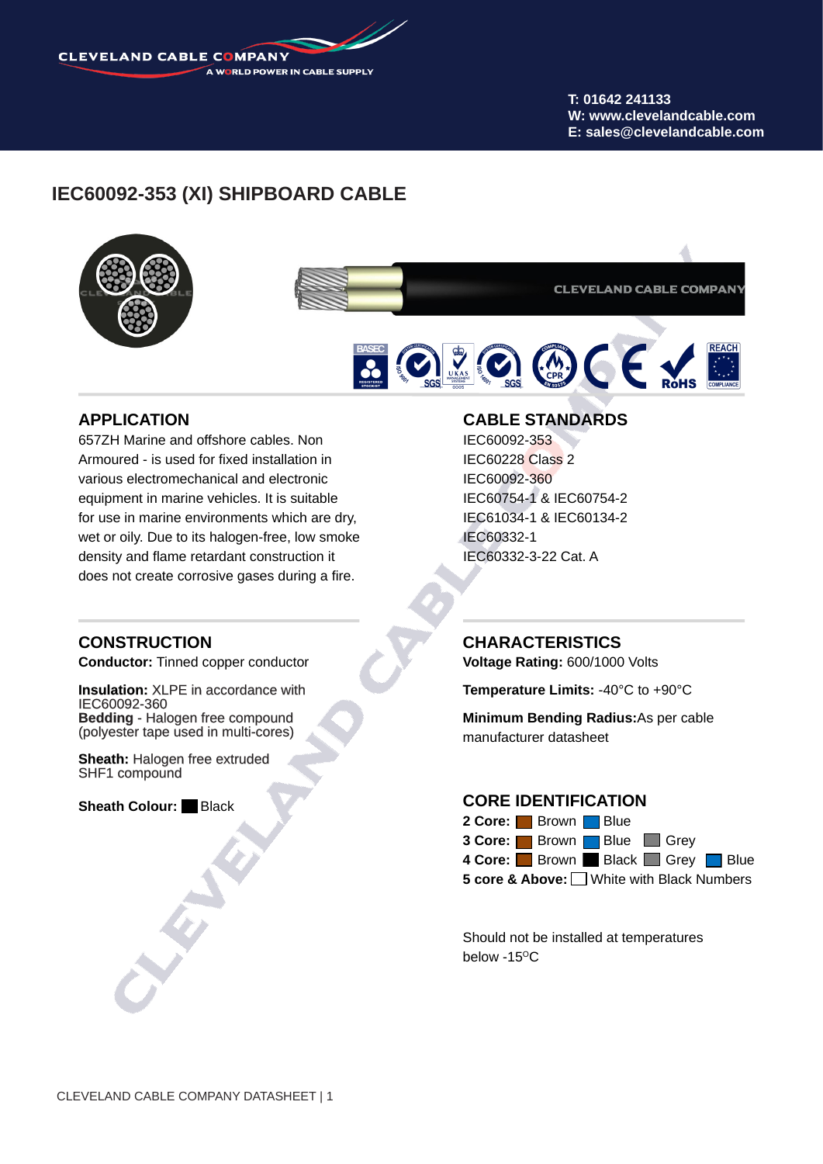

**T: 01642 241133 W: www.clevelandcable.com E: sales@clevelandcable.com**

## **IEC60092-353 (XI) SHIPBOARD CABLE**



**CLEVELAND CABLE COMPANY** 



#### **APPLICATION**

657ZH Marine and offshore cables. Non Armoured - is used for fixed installation in various electromechanical and electronic equipment in marine vehicles. It is suitable for use in marine environments which are dry, wet or oily. Due to its halogen-free, low smoke density and flame retardant construction it does not create corrosive gases during a fire.

#### **CONSTRUCTION**

**Conductor:** Tinned copper conductor

**Insulation:** XLPE in accordance with IEC60092-360 **Bedding** - Halogen free compound (polyester tape used in multi-cores)

**Sheath:** Halogen free extruded SHF1 compound

**Sheath Colour:** Black

### **CABLE STANDARDS**

IEC60092-353 IEC60228 Class 2 IEC60092-360 IEC60754-1 & IEC60754-2 IEC61034-1 & IEC60134-2 IEC60332-1 IEC60332-3-22 Cat. A

### **CHARACTERISTICS**

**Voltage Rating:** 600/1000 Volts

**Temperature Limits:** -40°C to +90°C

**Minimum Bending Radius:**As per cable manufacturer datasheet

#### **CORE IDENTIFICATION**

|                                            | 2 Core: Brown Blue             |  |  |  |  |  |
|--------------------------------------------|--------------------------------|--|--|--|--|--|
|                                            | <b>3 Core:</b> Brown Blue Grey |  |  |  |  |  |
|                                            | 4 Core: Brown Black Grey Blue  |  |  |  |  |  |
| 5 core & Above: U White with Black Numbers |                                |  |  |  |  |  |

Should not be installed at temperatures below  $-15^{\circ}$ C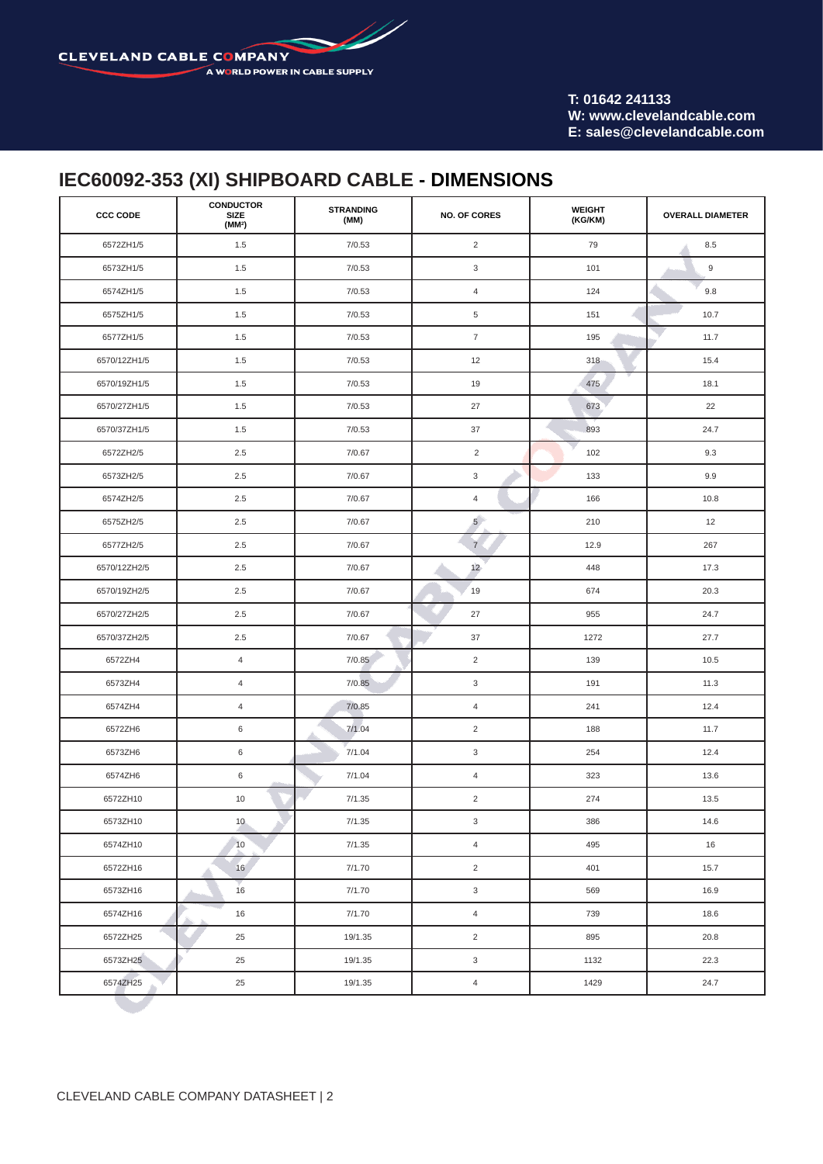W **CLEVELAND CABLE COMPANY** A WORLD POWER IN CABLE SUPPLY

> **T: 01642 241133 W: www.clevelandcable.com E: sales@clevelandcable.com**

# **IEC60092-353 (XI) SHIPBOARD CABLE - DIMENSIONS**

| <b>CCC CODE</b> | <b>CONDUCTOR</b><br><b>SIZE</b><br>(MM <sup>2</sup> ) | <b>STRANDING</b><br>(MM) | <b>NO. OF CORES</b> | <b>WEIGHT</b><br>(KG/KM) | <b>OVERALL DIAMETER</b> |
|-----------------|-------------------------------------------------------|--------------------------|---------------------|--------------------------|-------------------------|
| 6572ZH1/5       | $1.5\,$                                               | 7/0.53                   | $\overline{2}$      | 79                       | 8.5                     |
| 6573ZH1/5       | 1.5                                                   | 7/0.53                   | $\mathbf{3}$        | 101                      | 9                       |
| 6574ZH1/5       | $1.5\,$                                               | 7/0.53                   | $\overline{4}$      | 124                      | 9.8                     |
| 6575ZH1/5       | $1.5\,$                                               | 7/0.53                   | 5                   | 151                      | 10.7                    |
| 6577ZH1/5       | $1.5\,$                                               | 7/0.53                   | $\overline{7}$      | 195                      | v<br>11.7               |
| 6570/12ZH1/5    | 1.5                                                   | 7/0.53                   | 12                  | 318                      | 15.4                    |
| 6570/19ZH1/5    | 1.5                                                   | 7/0.53                   | 19                  | 475                      | 18.1                    |
| 6570/27ZH1/5    | 1.5                                                   | 7/0.53                   | 27                  | 673                      | 22                      |
| 6570/37ZH1/5    | 1.5                                                   | 7/0.53                   | 37                  | 893                      | 24.7                    |
| 6572ZH2/5       | 2.5                                                   | 7/0.67                   | $\sqrt{2}$          | 102                      | 9.3                     |
| 6573ZH2/5       | 2.5                                                   | 7/0.67                   | 3                   | 133                      | 9.9                     |
| 6574ZH2/5       | 2.5                                                   | 7/0.67                   | $\overline{4}$      | 166                      | 10.8                    |
| 6575ZH2/5       | 2.5                                                   | 7/0.67                   | 5 <sub>z</sub>      | 210                      | 12                      |
| 6577ZH2/5       | 2.5                                                   | 7/0.67                   | $\overline{7}$      | 12.9                     | 267                     |
| 6570/12ZH2/5    | 2.5                                                   | 7/0.67                   | 12                  | 448                      | 17.3                    |
| 6570/19ZH2/5    | 2.5                                                   | 7/0.67                   | 19                  | 674                      | 20.3                    |
| 6570/27ZH2/5    | 2.5                                                   | 7/0.67                   | 27                  | 955                      | 24.7                    |
| 6570/37ZH2/5    | 2.5                                                   | 7/0.67                   | 37                  | 1272                     | 27.7                    |
| 6572ZH4         | $\overline{4}$                                        | 7/0.85                   | $\overline{c}$      | 139                      | 10.5                    |
| 6573ZH4         | $\overline{4}$                                        | 7/0.85                   | 3                   | 191                      | 11.3                    |
| 6574ZH4         | $\overline{4}$                                        | 7/0.85                   | $\overline{4}$      | 241                      | 12.4                    |
| 6572ZH6         | 6                                                     | 7/1.04                   | $\overline{c}$      | 188                      | 11.7                    |
| 6573ZH6         | $\,6\,$                                               | 7/1.04                   | 3                   | 254                      | 12.4                    |
| 6574ZH6         | $\,6\,$                                               | 7/1.04                   | $\overline{4}$      | 323                      | 13.6                    |
| 6572ZH10        | 10                                                    | 7/1.35                   | $\overline{c}$      | 274                      | 13.5                    |
| 6573ZH10        | 10                                                    | 7/1.35                   | 3                   | 386                      | 14.6                    |
| 6574ZH10        | 10                                                    | 7/1.35                   | $\overline{4}$      | 495                      | 16                      |
| 6572ZH16        | 16                                                    | 7/1.70                   | $\overline{2}$      | 401                      | 15.7                    |
| 6573ZH16        | 16                                                    | 7/1.70                   | 3                   | 569                      | 16.9                    |
| 6574ZH16        | 16                                                    | 7/1.70                   | $\overline{4}$      | 739                      | 18.6                    |
| 6572ZH25        | 25                                                    | 19/1.35                  | $\mathbf{2}$        | 895                      | 20.8                    |
| 6573ZH25        | 25                                                    | 19/1.35                  | 3                   | 1132                     | 22.3                    |
| 6574ZH25        | 25                                                    | 19/1.35                  | $\overline{4}$      | 1429                     | 24.7                    |
|                 |                                                       |                          |                     |                          |                         |